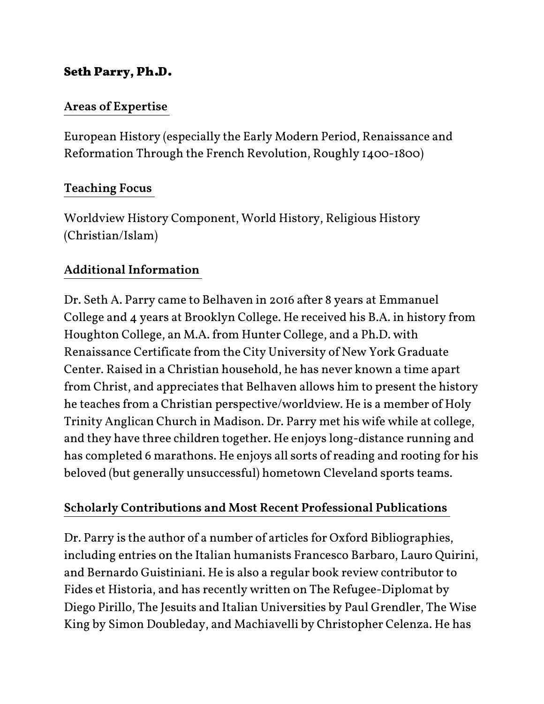## Seth Parry, Ph.D.

## Areas of Expertise

European History (especially the Early Modern Period, Renaissance and Reformation Through the French Revolution, Roughly 1400-1800)

## Teaching Focus

Worldview History Component, World History, Religious History (Christian/Islam)

# Additional Information

Dr. Seth A. Parry came to Belhaven in 2016 after 8 years at Emmanuel College and 4 years at Brooklyn College. He received his B.A. in history from Houghton College, an M.A. from Hunter College, and a Ph.D. with Renaissance Certificate from the City University of New York Graduate Center. Raised in a Christian household, he has never known a time apart from Christ, and appreciates that Belhaven allows him to present the history he teaches from a Christian perspective/worldview. He is a member of Holy Trinity Anglican Church in Madison. Dr. Parry met his wife while at college, and they have three children together. He enjoys long-distance running and has completed 6 marathons. He enjoys all sorts of reading and rooting for his beloved (but generally unsuccessful) hometown Cleveland sports teams.

## Scholarly Contributions and Most Recent Professional Publications

Dr. Parry is the author of a number of articles for Oxford Bibliographies, including entries on the Italian humanists Francesco Barbaro, Lauro Quirini, and Bernardo Guistiniani. He is also a regular book review contributor to Fides et Historia, and has recently written on The Refugee-Diplomat by Diego Pirillo, The Jesuits and Italian Universities by Paul Grendler, The Wise King by Simon Doubleday, and Machiavelli by Christopher Celenza. He has